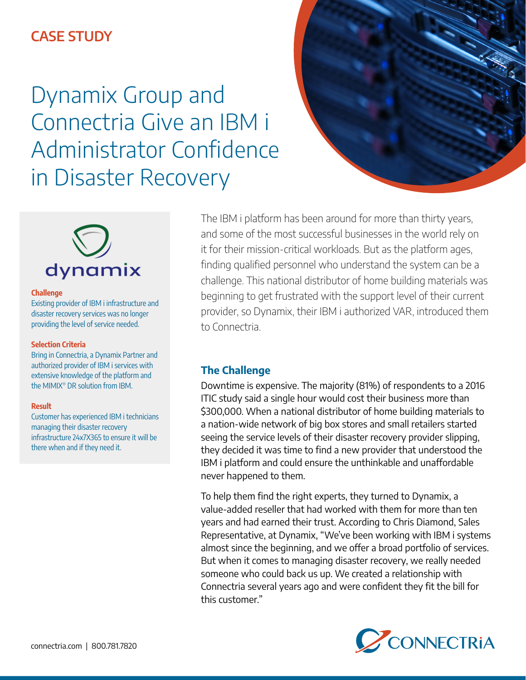# **CASE STUDY**

Dynamix Group and Connectria Give an IBM i Administrator Confidence in Disaster Recovery





### **Challenge**

Existing provider of IBM i infrastructure and disaster recovery services was no longer providing the level of service needed.

#### **Selection Criteria**

Bring in Connectria, a Dynamix Partner and authorized provider of IBM i services with extensive knowledge of the platform and the MIMIX® DR solution from IBM.

#### **Result**

Customer has experienced IBM i technicians managing their disaster recovery infrastructure 24x7X365 to ensure it will be there when and if they need it.

The IBM i platform has been around for more than thirty years, and some of the most successful businesses in the world rely on it for their mission-critical workloads. But as the platform ages, finding qualified personnel who understand the system can be a challenge. This national distributor of home building materials was beginning to get frustrated with the support level of their current provider, so Dynamix, their IBM i authorized VAR, introduced them to Connectria.

## **The Challenge**

Downtime is expensive. The majority (81%) of respondents to a 2016 ITIC study said a single hour would cost their business more than \$300,000. When a national distributor of home building materials to a nation-wide network of big box stores and small retailers started seeing the service levels of their disaster recovery provider slipping, they decided it was time to find a new provider that understood the IBM i platform and could ensure the unthinkable and unaffordable never happened to them.

To help them find the right experts, they turned to Dynamix, a value-added reseller that had worked with them for more than ten years and had earned their trust. According to Chris Diamond, Sales Representative, at Dynamix, "We've been working with IBM i systems almost since the beginning, and we offer a broad portfolio of services. But when it comes to managing disaster recovery, we really needed someone who could back us up. We created a relationship with Connectria several years ago and were confident they fit the bill for this customer."

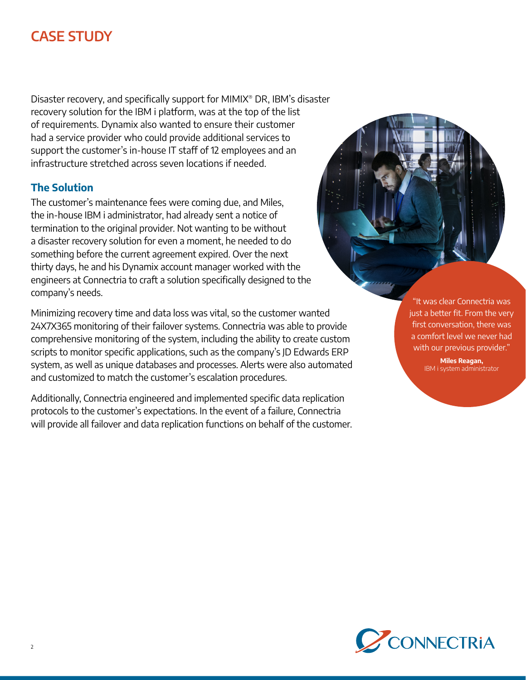# **CASE STUDY**

Disaster recovery, and specifically support for MIMIX® DR, IBM's disaster recovery solution for the IBM i platform, was at the top of the list of requirements. Dynamix also wanted to ensure their customer had a service provider who could provide additional services to support the customer's in-house IT staff of 12 employees and an infrastructure stretched across seven locations if needed.

# **The Solution**

The customer's maintenance fees were coming due, and Miles, the in-house IBM i administrator, had already sent a notice of termination to the original provider. Not wanting to be without a disaster recovery solution for even a moment, he needed to do something before the current agreement expired. Over the next thirty days, he and his Dynamix account manager worked with the engineers at Connectria to craft a solution specifically designed to the company's needs.

Minimizing recovery time and data loss was vital, so the customer wanted 24X7X365 monitoring of their failover systems. Connectria was able to provide comprehensive monitoring of the system, including the ability to create custom scripts to monitor specific applications, such as the company's JD Edwards ERP system, as well as unique databases and processes. Alerts were also automated and customized to match the customer's escalation procedures.

Additionally, Connectria engineered and implemented specific data replication protocols to the customer's expectations. In the event of a failure, Connectria will provide all failover and data replication functions on behalf of the customer.

"It was clear Connectria was just a better fit. From the very first conversation, there was a comfort level we never had with our previous provider."

> **Miles Reagan,** IBM i system administrator